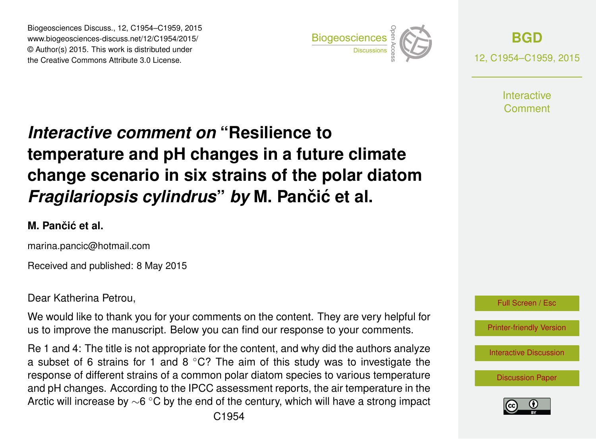Biogeosciences Discuss., 12, C1954–C1959, 2015 www.biogeosciences-discuss.net/12/C1954/2015/ © Author(s) 2015. This work is distributed under Biogeosciences Discuss., 12, C1954–C1959, 2015<br>
www.biogeosciences-discuss.net/12/C1954/2015/<br>
© Author(s) 2015. This work is distributed under<br>
the Creative Commons Attribute 3.0 License.



**[BGD](http://www.biogeosciences-discuss.net)** 12, C1954–C1959, 2015

> **Interactive** Comment

# *Interactive comment on* **"Resilience to temperature and pH changes in a future climate change scenario in six strains of the polar diatom** *Fragilariopsis cylindrus by* M. Pančić et al.

### **M. Panciˇ c et al. ´**

marina.pancic@hotmail.com

Received and published: 8 May 2015

Dear Katherina Petrou,

We would like to thank you for your comments on the content. They are very helpful for us to improve the manuscript. Below you can find our response to your comments.

Re 1 and 4: The title is not appropriate for the content, and why did the authors analyze a subset of 6 strains for 1 and 8  $\degree$ C? The aim of this study was to investigate the response of different strains of a common polar diatom species to various temperature and pH changes. According to the IPCC assessment reports, the air temperature in the Arctic will increase by  $\sim$ 6 °C by the end of the century, which will have a strong impact



[Interactive Discussion](http://www.biogeosciences-discuss.net/12/4627/2015/bgd-12-4627-2015-discussion.html)

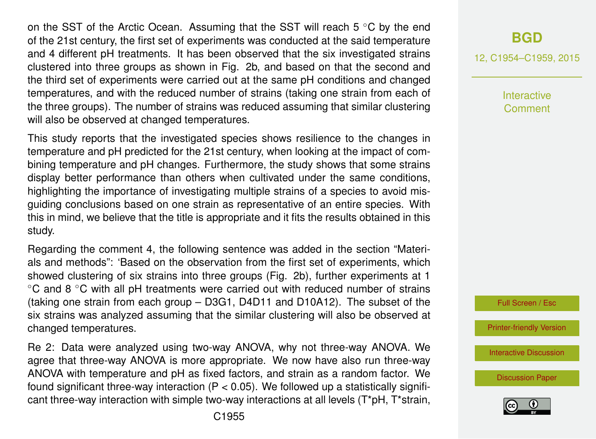on the SST of the Arctic Ocean. Assuming that the SST will reach 5 ◦C by the end of the 21st century, the first set of experiments was conducted at the said temperature and 4 different pH treatments. It has been observed that the six investigated strains clustered into three groups as shown in Fig. 2b, and based on that the second and the third set of experiments were carried out at the same pH conditions and changed temperatures, and with the reduced number of strains (taking one strain from each of the three groups). The number of strains was reduced assuming that similar clustering will also be observed at changed temperatures.

This study reports that the investigated species shows resilience to the changes in temperature and pH predicted for the 21st century, when looking at the impact of combining temperature and pH changes. Furthermore, the study shows that some strains display better performance than others when cultivated under the same conditions, highlighting the importance of investigating multiple strains of a species to avoid misguiding conclusions based on one strain as representative of an entire species. With this in mind, we believe that the title is appropriate and it fits the results obtained in this study.

Regarding the comment 4, the following sentence was added in the section "Materials and methods": 'Based on the observation from the first set of experiments, which showed clustering of six strains into three groups (Fig. 2b), further experiments at 1 ◦C and 8 ◦C with all pH treatments were carried out with reduced number of strains (taking one strain from each group – D3G1, D4D11 and D10A12). The subset of the six strains was analyzed assuming that the similar clustering will also be observed at changed temperatures.

Re 2: Data were analyzed using two-way ANOVA, why not three-way ANOVA. We agree that three-way ANOVA is more appropriate. We now have also run three-way ANOVA with temperature and pH as fixed factors, and strain as a random factor. We found significant three-way interaction ( $P < 0.05$ ). We followed up a statistically significant three-way interaction with simple two-way interactions at all levels  $(T^*pH, T^*strain,$ 

## **[BGD](http://www.biogeosciences-discuss.net)**

12, C1954–C1959, 2015

Interactive Comment



[Printer-friendly Version](http://www.biogeosciences-discuss.net/12/C1954/2015/bgd-12-C1954-2015-print.pdf)

[Interactive Discussion](http://www.biogeosciences-discuss.net/12/4627/2015/bgd-12-4627-2015-discussion.html)

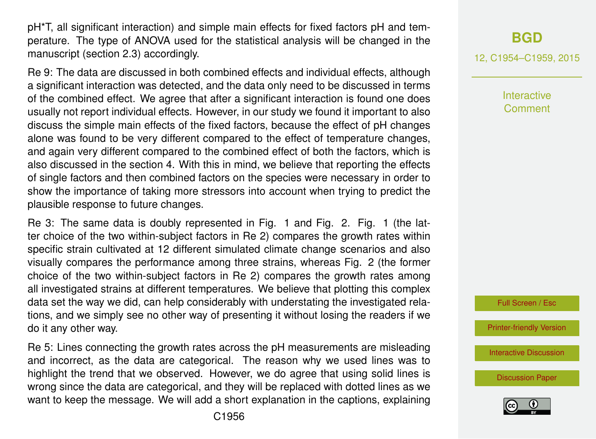pH\*T, all significant interaction) and simple main effects for fixed factors pH and temperature. The type of ANOVA used for the statistical analysis will be changed in the manuscript (section 2.3) accordingly.

Re 9: The data are discussed in both combined effects and individual effects, although a significant interaction was detected, and the data only need to be discussed in terms of the combined effect. We agree that after a significant interaction is found one does usually not report individual effects. However, in our study we found it important to also discuss the simple main effects of the fixed factors, because the effect of pH changes alone was found to be very different compared to the effect of temperature changes, and again very different compared to the combined effect of both the factors, which is also discussed in the section 4. With this in mind, we believe that reporting the effects of single factors and then combined factors on the species were necessary in order to show the importance of taking more stressors into account when trying to predict the plausible response to future changes.

Re 3: The same data is doubly represented in Fig. 1 and Fig. 2. Fig. 1 (the latter choice of the two within-subject factors in Re 2) compares the growth rates within specific strain cultivated at 12 different simulated climate change scenarios and also visually compares the performance among three strains, whereas Fig. 2 (the former choice of the two within-subject factors in Re 2) compares the growth rates among all investigated strains at different temperatures. We believe that plotting this complex data set the way we did, can help considerably with understating the investigated relations, and we simply see no other way of presenting it without losing the readers if we do it any other way.

Re 5: Lines connecting the growth rates across the pH measurements are misleading and incorrect, as the data are categorical. The reason why we used lines was to highlight the trend that we observed. However, we do agree that using solid lines is wrong since the data are categorical, and they will be replaced with dotted lines as we want to keep the message. We will add a short explanation in the captions, explaining 12, C1954–C1959, 2015

**Interactive** Comment



[Printer-friendly Version](http://www.biogeosciences-discuss.net/12/C1954/2015/bgd-12-C1954-2015-print.pdf)

[Interactive Discussion](http://www.biogeosciences-discuss.net/12/4627/2015/bgd-12-4627-2015-discussion.html)

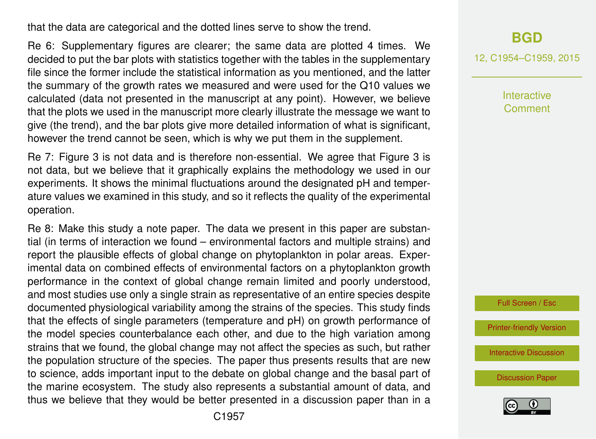that the data are categorical and the dotted lines serve to show the trend.

Re 6: Supplementary figures are clearer; the same data are plotted 4 times. We decided to put the bar plots with statistics together with the tables in the supplementary file since the former include the statistical information as you mentioned, and the latter the summary of the growth rates we measured and were used for the Q10 values we calculated (data not presented in the manuscript at any point). However, we believe that the plots we used in the manuscript more clearly illustrate the message we want to give (the trend), and the bar plots give more detailed information of what is significant, however the trend cannot be seen, which is why we put them in the supplement.

Re 7: Figure 3 is not data and is therefore non-essential. We agree that Figure 3 is not data, but we believe that it graphically explains the methodology we used in our experiments. It shows the minimal fluctuations around the designated pH and temperature values we examined in this study, and so it reflects the quality of the experimental operation.

Re 8: Make this study a note paper. The data we present in this paper are substantial (in terms of interaction we found – environmental factors and multiple strains) and report the plausible effects of global change on phytoplankton in polar areas. Experimental data on combined effects of environmental factors on a phytoplankton growth performance in the context of global change remain limited and poorly understood, and most studies use only a single strain as representative of an entire species despite documented physiological variability among the strains of the species. This study finds that the effects of single parameters (temperature and pH) on growth performance of the model species counterbalance each other, and due to the high variation among strains that we found, the global change may not affect the species as such, but rather the population structure of the species. The paper thus presents results that are new to science, adds important input to the debate on global change and the basal part of the marine ecosystem. The study also represents a substantial amount of data, and thus we believe that they would be better presented in a discussion paper than in a

12, C1954–C1959, 2015

Interactive Comment

Full Screen / Esc

[Printer-friendly Version](http://www.biogeosciences-discuss.net/12/C1954/2015/bgd-12-C1954-2015-print.pdf)

[Interactive Discussion](http://www.biogeosciences-discuss.net/12/4627/2015/bgd-12-4627-2015-discussion.html)

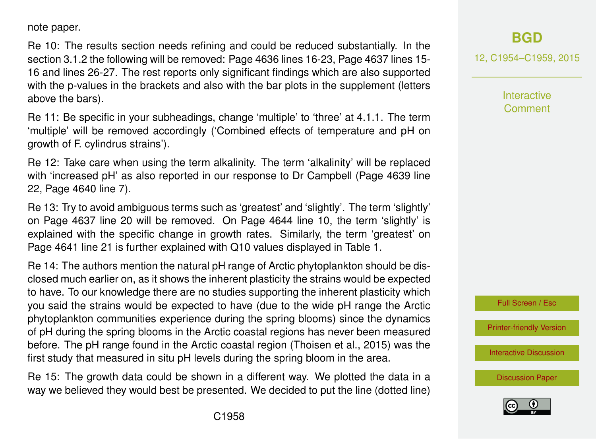note paper.

Re 10: The results section needs refining and could be reduced substantially. In the section 3.1.2 the following will be removed: Page 4636 lines 16-23, Page 4637 lines 15- 16 and lines 26-27. The rest reports only significant findings which are also supported with the p-values in the brackets and also with the bar plots in the supplement (letters above the bars).

Re 11: Be specific in your subheadings, change 'multiple' to 'three' at 4.1.1. The term 'multiple' will be removed accordingly ('Combined effects of temperature and pH on growth of F. cylindrus strains').

Re 12: Take care when using the term alkalinity. The term 'alkalinity' will be replaced with 'increased pH' as also reported in our response to Dr Campbell (Page 4639 line 22, Page 4640 line 7).

Re 13: Try to avoid ambiguous terms such as 'greatest' and 'slightly'. The term 'slightly' on Page 4637 line 20 will be removed. On Page 4644 line 10, the term 'slightly' is explained with the specific change in growth rates. Similarly, the term 'greatest' on Page 4641 line 21 is further explained with Q10 values displayed in Table 1.

Re 14: The authors mention the natural pH range of Arctic phytoplankton should be disclosed much earlier on, as it shows the inherent plasticity the strains would be expected to have. To our knowledge there are no studies supporting the inherent plasticity which you said the strains would be expected to have (due to the wide pH range the Arctic phytoplankton communities experience during the spring blooms) since the dynamics of pH during the spring blooms in the Arctic coastal regions has never been measured before. The pH range found in the Arctic coastal region (Thoisen et al., 2015) was the first study that measured in situ pH levels during the spring bloom in the area.

Re 15: The growth data could be shown in a different way. We plotted the data in a way we believed they would best be presented. We decided to put the line (dotted line)

# **[BGD](http://www.biogeosciences-discuss.net)**

12, C1954–C1959, 2015

**Interactive** Comment



[Printer-friendly Version](http://www.biogeosciences-discuss.net/12/C1954/2015/bgd-12-C1954-2015-print.pdf)

[Interactive Discussion](http://www.biogeosciences-discuss.net/12/4627/2015/bgd-12-4627-2015-discussion.html)